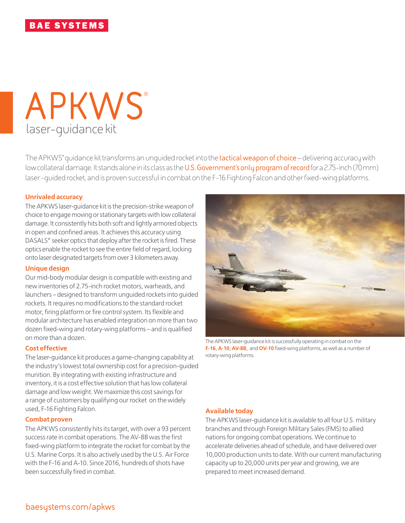# laser-guidance kit **APKWS**®

The APKWS® guidance kit transforms an unguided rocket into the **tactical weapon of choice** – delivering accuracy with low collateral damage. It stands alone in its class as the **U.S. Government's only program of record** for a 2.75-inch (70mm) laser -guided rocket, and is proven successful in combat on the F-16 Fighting Falcon and other fixed-wing platforms.

## **Unrivaled accuracy**

The APKWS laser-guidance kit is the precision-strike weapon of choice to engage moving or stationary targets with low collateral damage. It consistently hits both soft and lightly armored objects in open and confined areas. It achieves this accuracy using DASALS® seeker optics that deploy after the rocket is fired. These optics enable the rocket to see the entire field of regard, locking onto laser designated targets from over 3 kilometers away.

#### **Unique design**

Our mid-body modular design is compatible with existing and new inventories of 2.75-inch rocket motors, warheads, and launchers – designed to transform unguided rockets into guided rockets. It requires no modifications to the standard rocket motor, firing platform or fire control system. Its flexible and modular architecture has enabled integration on more than two dozen fixed-wing and rotary-wing platforms – and is qualified on more than a dozen.

## **Cost effective**

The laser-guidance kit produces a game-changing capability at the industry's lowest total ownership cost for a precision-guided munition. By integrating with existing infrastructure and inventory, it is a cost effective solution that has low collateral damage and low weight. We maximize this cost savings for a range of customers by qualifying our rocket on the widely used, F-16 Fighting Falcon.

#### **Combat proven**

The APKWS consistently hits its target, with over a 93 percent success rate in combat operations. The AV-8B was the first fixed-wing platform to integrate the rocket for combat by the U.S. Marine Corps. It is also actively used by the U.S. Air Force with the F-16 and A-10. Since 2016, hundreds of shots have been successfully fired in combat.



The APKWS laser-guidance kit is successfully operating in combat on the **F-16**, **A-10**, **AV-8B**, and **OV-10** fixed-wing platforms, as well as a number of rotary-wing platforms.

#### **Available today**

The APKWS laser-guidance kit is available to all four U.S. military branches and through Foreign Military Sales (FMS) to allied nations for ongoing combat operations. We continue to accelerate deliveries ahead of schedule, and have delivered over 10,000 production units to date. With our current manufacturing capacity up to 20,000 units per year and growing, we are prepared to meet increased demand.